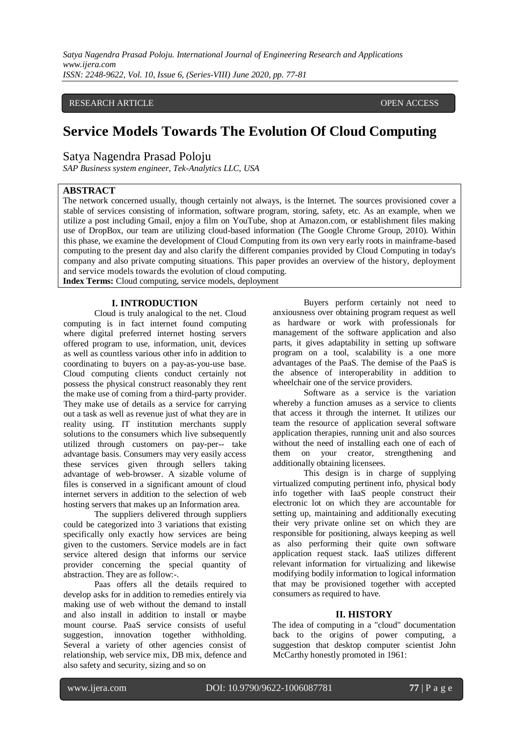*Satya Nagendra Prasad Poloju. International Journal of Engineering Research and Applications www.ijera.com ISSN: 2248-9622, Vol. 10, Issue 6, (Series-VIII) June 2020, pp. 77-81*

#### RESEARCH ARTICLE OPEN ACCESS

# **Service Models Towards The Evolution Of Cloud Computing**

Satya Nagendra Prasad Poloju

*SAP Business system engineer, Tek-Analytics LLC, USA*

## **ABSTRACT**

The network concerned usually, though certainly not always, is the Internet. The sources provisioned cover a stable of services consisting of information, software program, storing, safety, etc. As an example, when we utilize a post including Gmail, enjoy a film on YouTube, shop at Amazon.com, or establishment files making use of DropBox, our team are utilizing cloud-based information (The Google Chrome Group, 2010). Within this phase, we examine the development of Cloud Computing from its own very early roots in mainframe-based computing to the present day and also clarify the different companies provided by Cloud Computing in today's company and also private computing situations. This paper provides an overview of the history, deployment and service models towards the evolution of cloud computing.

**Index Terms:** Cloud computing, service models, deployment

#### **I. INTRODUCTION**

Cloud is truly analogical to the net. Cloud computing is in fact internet found computing where digital preferred internet hosting servers offered program to use, information, unit, devices as well as countless various other info in addition to coordinating to buyers on a pay-as-you-use base. Cloud computing clients conduct certainly not possess the physical construct reasonably they rent the make use of coming from a third-party provider. They make use of details as a service for carrying out a task as well as revenue just of what they are in reality using. IT institution merchants supply solutions to the consumers which live subsequently utilized through customers on pay-per-- take advantage basis. Consumers may very easily access these services given through sellers taking advantage of web-browser. A sizable volume of files is conserved in a significant amount of cloud internet servers in addition to the selection of web hosting servers that makes up an Information area.

The suppliers delivered through suppliers could be categorized into 3 variations that existing specifically only exactly how services are being given to the customers. Service models are in fact service altered design that informs our service provider concerning the special quantity of abstraction. They are as follow:-.

Paas offers all the details required to develop asks for in addition to remedies entirely via making use of web without the demand to install and also install in addition to install or maybe mount course. PaaS service consists of useful suggestion, innovation together withholding. Several a variety of other agencies consist of relationship, web service mix, DB mix, defence and also safety and security, sizing and so on

Buyers perform certainly not need to anxiousness over obtaining program request as well as hardware or work with professionals for management of the software application and also parts, it gives adaptability in setting up software program on a tool, scalability is a one more advantages of the PaaS. The demise of the PaaS is the absence of interoperability in addition to wheelchair one of the service providers.

Software as a service is the variation whereby a function amuses as a service to clients that access it through the internet. It utilizes our team the resource of application several software application therapies, running unit and also sources without the need of installing each one of each of them on your creator, strengthening and additionally obtaining licensees.

This design is in charge of supplying virtualized computing pertinent info, physical body info together with IaaS people construct their electronic lot on which they are accountable for setting up, maintaining and additionally executing their very private online set on which they are responsible for positioning, always keeping as well as also performing their quite own software application request stack. IaaS utilizes different relevant information for virtualizing and likewise modifying bodily information to logical information that may be provisioned together with accepted consumers as required to have.

#### **II. HISTORY**

The idea of computing in a "cloud" documentation back to the origins of power computing, a suggestion that desktop computer scientist John McCarthy honestly promoted in 1961: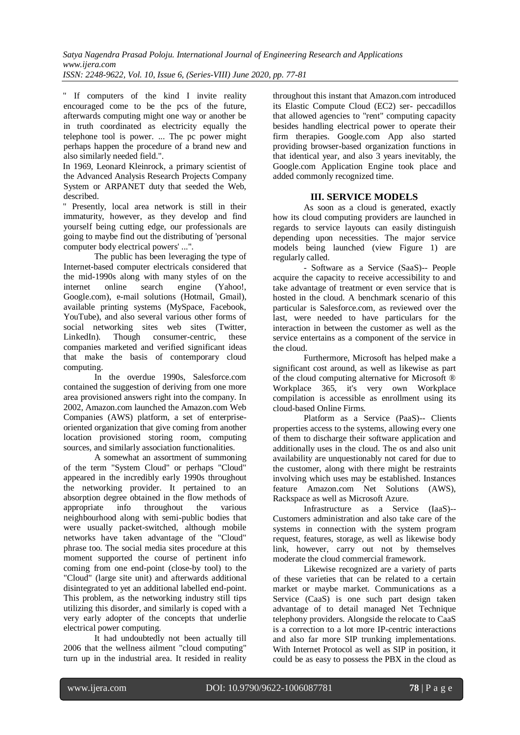*ISSN: 2248-9622, Vol. 10, Issue 6, (Series-VIII) June 2020, pp. 77-81*

" If computers of the kind I invite reality encouraged come to be the pcs of the future, afterwards computing might one way or another be in truth coordinated as electricity equally the telephone tool is power. ... The pc power might perhaps happen the procedure of a brand new and also similarly needed field.".

In 1969, Leonard Kleinrock, a primary scientist of the Advanced Analysis Research Projects Company System or ARPANET duty that seeded the Web, described.

" Presently, local area network is still in their immaturity, however, as they develop and find yourself being cutting edge, our professionals are going to maybe find out the distributing of 'personal computer body electrical powers' ...".

The public has been leveraging the type of Internet-based computer electricals considered that the mid-1990s along with many styles of on the internet online search engine (Yahoo!, Google.com), e-mail solutions (Hotmail, Gmail), available printing systems (MySpace, Facebook, YouTube), and also several various other forms of social networking sites web sites (Twitter, LinkedIn). Though consumer-centric, these companies marketed and verified significant ideas that make the basis of contemporary cloud computing.

In the overdue 1990s, Salesforce.com contained the suggestion of deriving from one more area provisioned answers right into the company. In 2002, Amazon.com launched the Amazon.com Web Companies (AWS) platform, a set of enterpriseoriented organization that give coming from another location provisioned storing room, computing sources, and similarly association functionalities.

A somewhat an assortment of summoning of the term "System Cloud" or perhaps "Cloud" appeared in the incredibly early 1990s throughout the networking provider. It pertained to an absorption degree obtained in the flow methods of appropriate info throughout the various neighbourhood along with semi-public bodies that were usually packet-switched, although mobile networks have taken advantage of the "Cloud" phrase too. The social media sites procedure at this moment supported the course of pertinent info coming from one end-point (close-by tool) to the "Cloud" (large site unit) and afterwards additional disintegrated to yet an additional labelled end-point. This problem, as the networking industry still tips utilizing this disorder, and similarly is coped with a very early adopter of the concepts that underlie electrical power computing.

It had undoubtedly not been actually till 2006 that the wellness ailment "cloud computing" turn up in the industrial area. It resided in reality

throughout this instant that Amazon.com introduced its Elastic Compute Cloud (EC2) ser- peccadillos that allowed agencies to "rent" computing capacity besides handling electrical power to operate their firm therapies. Google.com App also started providing browser-based organization functions in that identical year, and also 3 years inevitably, the Google.com Application Engine took place and added commonly recognized time.

### **III. SERVICE MODELS**

As soon as a cloud is generated, exactly how its cloud computing providers are launched in regards to service layouts can easily distinguish depending upon necessities. The major service models being launched (view Figure 1) are regularly called.

- Software as a Service (SaaS)-- People acquire the capacity to receive accessibility to and take advantage of treatment or even service that is hosted in the cloud. A benchmark scenario of this particular is Salesforce.com, as reviewed over the last, were needed to have particulars for the interaction in between the customer as well as the service entertains as a component of the service in the cloud.

Furthermore, Microsoft has helped make a significant cost around, as well as likewise as part of the cloud computing alternative for Microsoft ® Workplace 365, it's very own Workplace compilation is accessible as enrollment using its cloud-based Online Firms.

Platform as a Service (PaaS)-- Clients properties access to the systems, allowing every one of them to discharge their software application and additionally uses in the cloud. The os and also unit availability are unquestionably not cared for due to the customer, along with there might be restraints involving which uses may be established. Instances feature Amazon.com Net Solutions (AWS), Rackspace as well as Microsoft Azure.

Infrastructure as a Service (IaaS)-- Customers administration and also take care of the systems in connection with the system program request, features, storage, as well as likewise body link, however, carry out not by themselves moderate the cloud commercial framework.

Likewise recognized are a variety of parts of these varieties that can be related to a certain market or maybe market. Communications as a Service (CaaS) is one such part design taken advantage of to detail managed Net Technique telephony providers. Alongside the relocate to CaaS is a correction to a lot more IP-centric interactions and also far more SIP trunking implementations. With Internet Protocol as well as SIP in position, it could be as easy to possess the PBX in the cloud as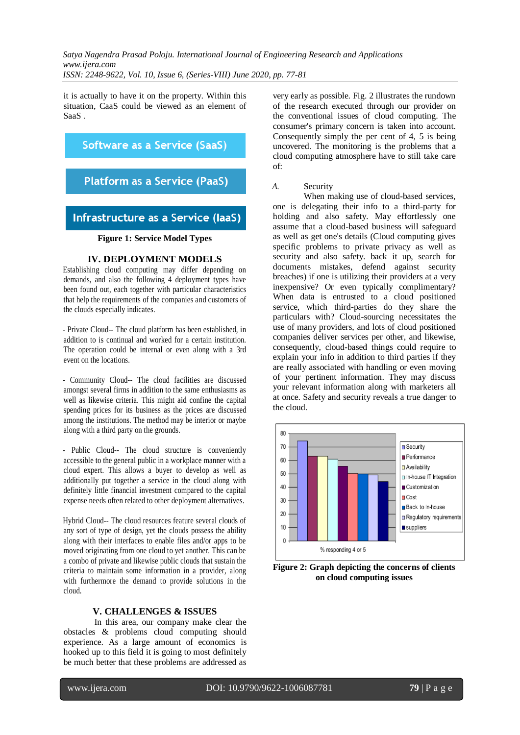*Satya Nagendra Prasad Poloju. International Journal of Engineering Research and Applications www.ijera.com*

*ISSN: 2248-9622, Vol. 10, Issue 6, (Series-VIII) June 2020, pp. 77-81*

it is actually to have it on the property. Within this situation, CaaS could be viewed as an element of SaaS .

## Software as a Service (SaaS)

## **Platform as a Service (PaaS)**

## Infrastructure as a Service (laaS)

#### **Figure 1: Service Model Types**

#### **IV. DEPLOYMENT MODELS**

Establishing cloud computing may differ depending on demands, and also the following 4 deployment types have been found out, each together with particular characteristics that help the requirements of the companies and customers of the clouds especially indicates.

- Private Cloud-- The cloud platform has been established, in addition to is continual and worked for a certain institution. The operation could be internal or even along with a 3rd event on the locations.

- Community Cloud-- The cloud facilities are discussed amongst several firms in addition to the same enthusiasms as well as likewise criteria. This might aid confine the capital spending prices for its business as the prices are discussed among the institutions. The method may be interior or maybe along with a third party on the grounds.

- Public Cloud-- The cloud structure is conveniently accessible to the general public in a workplace manner with a cloud expert. This allows a buyer to develop as well as additionally put together a service in the cloud along with definitely little financial investment compared to the capital expense needs often related to other deployment alternatives.

Hybrid Cloud-- The cloud resources feature several clouds of any sort of type of design, yet the clouds possess the ability along with their interfaces to enable files and/or apps to be moved originating from one cloud to yet another. This can be a combo of private and likewise public clouds that sustain the criteria to maintain some information in a provider, along with furthermore the demand to provide solutions in the cloud.

#### **V. CHALLENGES & ISSUES**

In this area, our company make clear the obstacles & problems cloud computing should experience. As a large amount of economics is hooked up to this field it is going to most definitely be much better that these problems are addressed as

very early as possible. Fig. 2 illustrates the rundown of the research executed through our provider on the conventional issues of cloud computing. The consumer's primary concern is taken into account. Consequently simply the per cent of 4, 5 is being uncovered. The monitoring is the problems that a cloud computing atmosphere have to still take care of:

#### *A.* Security

When making use of cloud-based services, one is delegating their info to a third-party for holding and also safety. May effortlessly one assume that a cloud-based business will safeguard as well as get one's details (Cloud computing gives specific problems to private privacy as well as security and also safety. back it up, search for documents mistakes, defend against security breaches) if one is utilizing their providers at a very inexpensive? Or even typically complimentary? When data is entrusted to a cloud positioned service, which third-parties do they share the particulars with? Cloud-sourcing necessitates the use of many providers, and lots of cloud positioned companies deliver services per other, and likewise, consequently, cloud-based things could require to explain your info in addition to third parties if they are really associated with handling or even moving of your pertinent information. They may discuss your relevant information along with marketers all at once. Safety and security reveals a true danger to the cloud.



**Figure 2: Graph depicting the concerns of clients on cloud computing issues**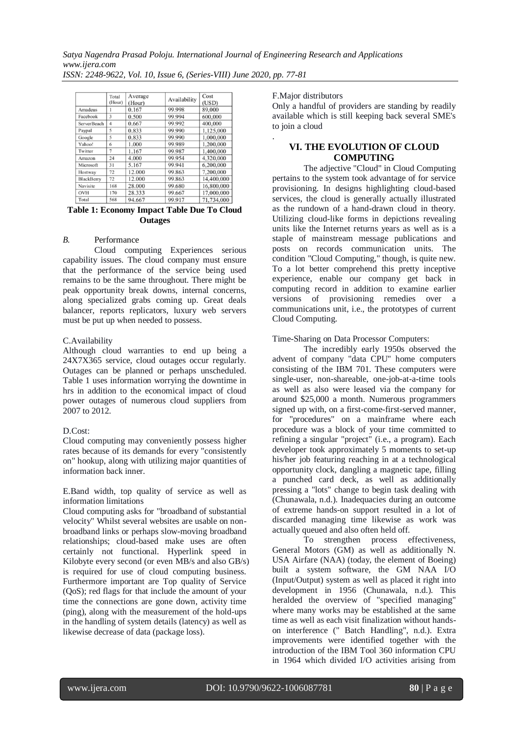*Satya Nagendra Prasad Poloju. International Journal of Engineering Research and Applications www.ijera.com*

*ISSN: 2248-9622, Vol. 10, Issue 6, (Series-VIII) June 2020, pp. 77-81*

|                    | Total<br>(Hour) | Average<br>(Hour) | Availability | Cost<br>(USD) |
|--------------------|-----------------|-------------------|--------------|---------------|
| Amadeus            |                 | 0.167             | 99.998       | 89,000        |
| Facebook           | 3               | 0.500             | 99.994       | 600,000       |
| <b>ServerBeach</b> | $\overline{4}$  | 0.667             | 99.992       | 400,000       |
| Paypal             | 5               | 0.833             | 99.990       | 1,125,000     |
| Google             | 5               | 0.833             | 99.990       | 1,000,000     |
| Yahoo!             | 6               | 1.000             | 99.989       | 1,200,000     |
| Twitter            | 7               | 1.167             | 99.987       | 1,400,000     |
| Amazon             | 24              | 4.000             | 99.954       | 4,320,000     |
| Microsoft          | 31              | 5.167             | 99.941       | 6,200,000     |
| Hostway            | 72              | 12.000            | 99.863       | 7,200,000     |
| BlackBerry         | 72              | 12.000            | 99.863       | 14,400,000    |
| Navisite           | 168             | 28.000            | 99.680       | 16,800,000    |
| OVH                | 170             | 28.333            | 99.667       | 17,000,000    |
| Total              | 568             | 94.667            | 99.917       | 71,734,000    |

#### **Table 1: Economy Impact Table Due To Cloud Outages**

#### *B.* Performance

Cloud computing Experiences serious capability issues. The cloud company must ensure that the performance of the service being used remains to be the same throughout. There might be peak opportunity break downs, internal concerns, along specialized grabs coming up. Great deals balancer, reports replicators, luxury web servers must be put up when needed to possess.

#### C.Availability

Although cloud warranties to end up being a 24X7X365 service, cloud outages occur regularly. Outages can be planned or perhaps unscheduled. Table 1 uses information worrying the downtime in hrs in addition to the economical impact of cloud power outages of numerous cloud suppliers from 2007 to 2012.

#### D.Cost:

Cloud computing may conveniently possess higher rates because of its demands for every "consistently on" hookup, along with utilizing major quantities of information back inner.

E.Band width, top quality of service as well as information limitations

Cloud computing asks for "broadband of substantial velocity" Whilst several websites are usable on nonbroadband links or perhaps slow-moving broadband relationships; cloud-based make uses are often certainly not functional. Hyperlink speed in Kilobyte every second (or even MB/s and also GB/s) is required for use of cloud computing business. Furthermore important are Top quality of Service (QoS); red flags for that include the amount of your time the connections are gone down, activity time (ping), along with the measurement of the hold-ups in the handling of system details (latency) as well as likewise decrease of data (package loss).

### F.Major distributors

.

Only a handful of providers are standing by readily available which is still keeping back several SME's to join a cloud

## **VI. THE EVOLUTION OF CLOUD COMPUTING**

The adjective "Cloud" in Cloud Computing pertains to the system took advantage of for service provisioning. In designs highlighting cloud-based services, the cloud is generally actually illustrated as the rundown of a hand-drawn cloud in theory. Utilizing cloud-like forms in depictions revealing units like the Internet returns years as well as is a staple of mainstream message publications and posts on records communication units. The condition "Cloud Computing," though, is quite new. To a lot better comprehend this pretty inceptive experience, enable our company get back in computing record in addition to examine earlier versions of provisioning remedies over a communications unit, i.e., the prototypes of current Cloud Computing.

Time-Sharing on Data Processor Computers:

The incredibly early 1950s observed the advent of company "data CPU" home computers consisting of the IBM 701. These computers were single-user, non-shareable, one-job-at-a-time tools as well as also were leased via the company for around \$25,000 a month. Numerous programmers signed up with, on a first-come-first-served manner, for "procedures" on a mainframe where each procedure was a block of your time committed to refining a singular "project" (i.e., a program). Each developer took approximately 5 moments to set-up his/her job featuring reaching in at a technological opportunity clock, dangling a magnetic tape, filling a punched card deck, as well as additionally pressing a "lots" change to begin task dealing with (Chunawala, n.d.). Inadequacies during an outcome of extreme hands-on support resulted in a lot of discarded managing time likewise as work was actually queued and also often held off.

To strengthen process effectiveness, General Motors (GM) as well as additionally N. USA Airfare (NAA) (today, the element of Boeing) built a system software, the GM NAA I/O (Input/Output) system as well as placed it right into development in 1956 (Chunawala, n.d.). This heralded the overview of "specified managing" where many works may be established at the same time as well as each visit finalization without handson interference (" Batch Handling", n.d.). Extra improvements were identified together with the introduction of the IBM Tool 360 information CPU in 1964 which divided I/O activities arising from